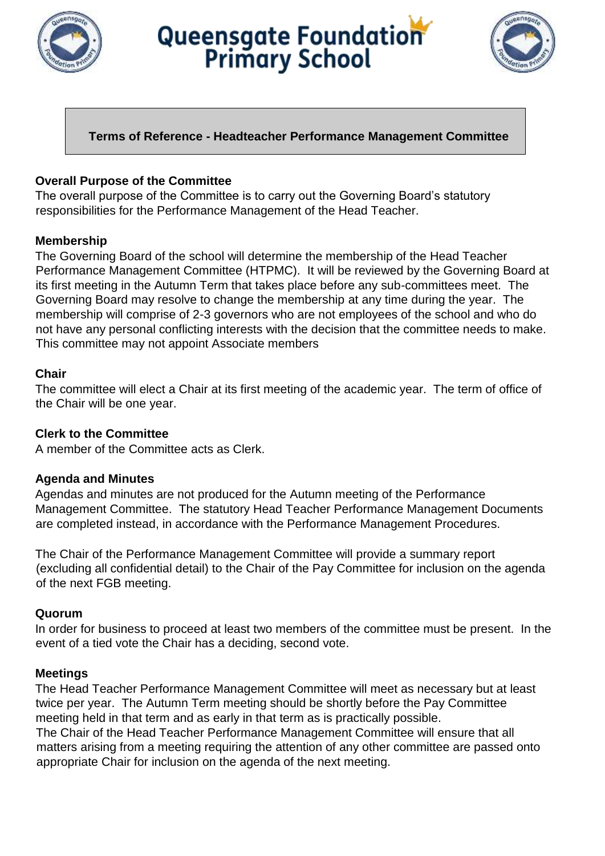

# Queensgate Foundation



## **Terms of Reference - Headteacher Performance Management Committee**

### **Overall Purpose of the Committee**

The overall purpose of the Committee is to carry out the Governing Board's statutory responsibilities for the Performance Management of the Head Teacher.

### **Membership**

The Governing Board of the school will determine the membership of the Head Teacher Performance Management Committee (HTPMC). It will be reviewed by the Governing Board at its first meeting in the Autumn Term that takes place before any sub-committees meet. The Governing Board may resolve to change the membership at any time during the year. The membership will comprise of 2-3 governors who are not employees of the school and who do not have any personal conflicting interests with the decision that the committee needs to make. This committee may not appoint Associate members

### **Chair**

The committee will elect a Chair at its first meeting of the academic year. The term of office of the Chair will be one year.

### **Clerk to the Committee**

A member of the Committee acts as Clerk.

### **Agenda and Minutes**

Agendas and minutes are not produced for the Autumn meeting of the Performance Management Committee. The statutory Head Teacher Performance Management Documents are completed instead, in accordance with the Performance Management Procedures.

The Chair of the Performance Management Committee will provide a summary report (excluding all confidential detail) to the Chair of the Pay Committee for inclusion on the agenda of the next FGB meeting.

### **Quorum**

In order for business to proceed at least two members of the committee must be present. In the event of a tied vote the Chair has a deciding, second vote.

### **Meetings**

The Head Teacher Performance Management Committee will meet as necessary but at least twice per year. The Autumn Term meeting should be shortly before the Pay Committee meeting held in that term and as early in that term as is practically possible.

The Chair of the Head Teacher Performance Management Committee will ensure that all matters arising from a meeting requiring the attention of any other committee are passed onto appropriate Chair for inclusion on the agenda of the next meeting.